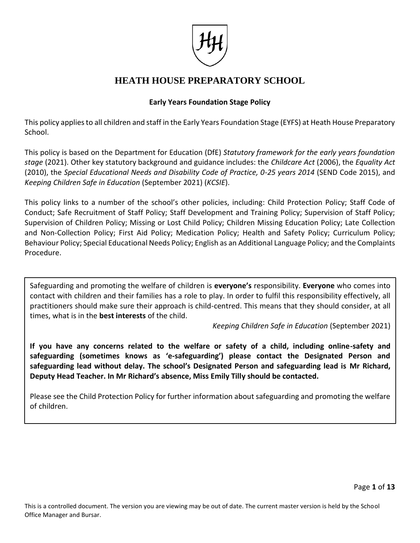

# **HEATH HOUSE PREPARATORY SCHOOL**

# **Early Years Foundation Stage Policy**

This policy applies to all children and staff in the Early Years Foundation Stage (EYFS) at Heath House Preparatory School.

This policy is based on the Department for Education (DfE) *Statutory framework for the early years foundation stage* (2021). Other key statutory background and guidance includes: the *Childcare Act* (2006), the *Equality Act* (2010), the *Special Educational Needs and Disability Code of Practice, 0-25 years 2014* (SEND Code 2015), and *Keeping Children Safe in Education* (September 2021) (*KCSIE*).

This policy links to a number of the school's other policies, including: Child Protection Policy; Staff Code of Conduct; Safe Recruitment of Staff Policy; Staff Development and Training Policy; Supervision of Staff Policy; Supervision of Children Policy; Missing or Lost Child Policy; Children Missing Education Policy; Late Collection and Non-Collection Policy; First Aid Policy; Medication Policy; Health and Safety Policy; Curriculum Policy; Behaviour Policy; Special Educational Needs Policy; English as an Additional Language Policy; and the Complaints Procedure.

Safeguarding and promoting the welfare of children is **everyone's** responsibility. **Everyone** who comes into contact with children and their families has a role to play. In order to fulfil this responsibility effectively, all practitioners should make sure their approach is child-centred. This means that they should consider, at all times, what is in the **best interests** of the child.

*Keeping Children Safe in Education* (September 2021)

**If you have any concerns related to the welfare or safety of a child, including online-safety and safeguarding (sometimes knows as 'e-safeguarding') please contact the Designated Person and safeguarding lead without delay. The school's Designated Person and safeguarding lead is Mr Richard, Deputy Head Teacher. In Mr Richard's absence, Miss Emily Tilly should be contacted.** 

Please see the Child Protection Policy for further information about safeguarding and promoting the welfare of children.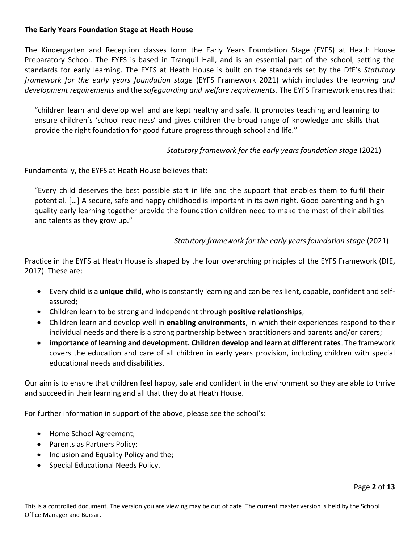## **The Early Years Foundation Stage at Heath House**

The Kindergarten and Reception classes form the Early Years Foundation Stage (EYFS) at Heath House Preparatory School. The EYFS is based in Tranquil Hall, and is an essential part of the school, setting the standards for early learning. The EYFS at Heath House is built on the standards set by the DfE's *Statutory framework for the early years foundation stage* (EYFS Framework 2021) which includes the *learning and development requirements* and the *safeguarding and welfare requirements.* The EYFS Framework ensures that:

"children learn and develop well and are kept healthy and safe. It promotes teaching and learning to ensure children's 'school readiness' and gives children the broad range of knowledge and skills that provide the right foundation for good future progress through school and life."

 *Statutory framework for the early years foundation stage* (2021)

Fundamentally, the EYFS at Heath House believes that:

"Every child deserves the best possible start in life and the support that enables them to fulfil their potential. […] A secure, safe and happy childhood is important in its own right. Good parenting and high quality early learning together provide the foundation children need to make the most of their abilities and talents as they grow up."

 *Statutory framework for the early years foundation stage* (2021)

Practice in the EYFS at Heath House is shaped by the four overarching principles of the EYFS Framework (DfE, 2017). These are:

- Every child is a **unique child**, who is constantly learning and can be resilient, capable, confident and selfassured;
- Children learn to be strong and independent through **positive relationships**;
- Children learn and develop well in **enabling environments**, in which their experiences respond to their individual needs and there is a strong partnership between practitioners and parents and/or carers;
- **importance of learning and development. Children develop and learn at different rates**. The framework covers the education and care of all children in early years provision, including children with special educational needs and disabilities.

Our aim is to ensure that children feel happy, safe and confident in the environment so they are able to thrive and succeed in their learning and all that they do at Heath House.

For further information in support of the above, please see the school's:

- Home School Agreement;
- Parents as Partners Policy;
- Inclusion and Equality Policy and the;
- Special Educational Needs Policy.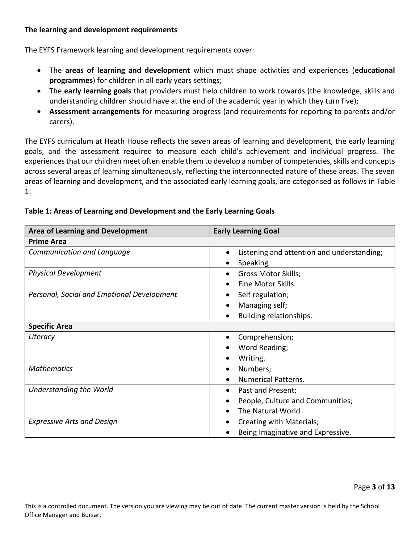#### **The learning and development requirements**

The EYFS Framework learning and development requirements cover:

- The **areas of learning and development** which must shape activities and experiences (**educational programmes**) for children in all early years settings;
- The **early learning goals** that providers must help children to work towards (the knowledge, skills and understanding children should have at the end of the academic year in which they turn five);
- **Assessment arrangements** for measuring progress (and requirements for reporting to parents and/or carers).

The EYFS curriculum at Heath House reflects the seven areas of learning and development, the early learning goals, and the assessment required to measure each child's achievement and individual progress. The experiences that our children meet often enable them to develop a number of competencies, skills and concepts across several areas of learning simultaneously, reflecting the interconnected nature of these areas. The seven areas of learning and development, and the associated early learning goals, are categorised as follows in Table 1:

| <b>Area of Learning and Development</b>    | <b>Early Learning Goal</b>                 |
|--------------------------------------------|--------------------------------------------|
| <b>Prime Area</b>                          |                                            |
| Communication and Language                 | Listening and attention and understanding; |
|                                            | Speaking                                   |
| <b>Physical Development</b>                | Gross Motor Skills;                        |
|                                            | Fine Motor Skills.                         |
| Personal, Social and Emotional Development | Self regulation;<br>$\bullet$              |
|                                            | Managing self;                             |
|                                            | Building relationships.                    |
| <b>Specific Area</b>                       |                                            |
| Literacy                                   | Comprehension;                             |
|                                            | Word Reading;                              |
|                                            | Writing.                                   |
| <b>Mathematics</b>                         | Numbers;<br>$\bullet$                      |
|                                            | <b>Numerical Patterns.</b>                 |
| Understanding the World                    | Past and Present;                          |
|                                            | People, Culture and Communities;           |
|                                            | The Natural World                          |
| <b>Expressive Arts and Design</b>          | Creating with Materials;                   |
|                                            | Being Imaginative and Expressive.          |

## **Table 1: Areas of Learning and Development and the Early Learning Goals**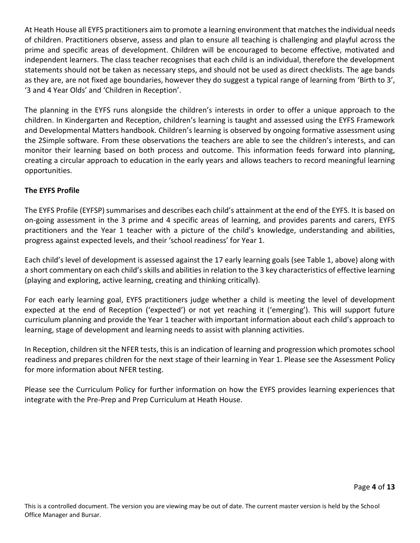At Heath House all EYFS practitioners aim to promote a learning environment that matches the individual needs of children. Practitioners observe, assess and plan to ensure all teaching is challenging and playful across the prime and specific areas of development. Children will be encouraged to become effective, motivated and independent learners. The class teacher recognises that each child is an individual, therefore the development statements should not be taken as necessary steps, and should not be used as direct checklists. The age bands as they are, are not fixed age boundaries, however they do suggest a typical range of learning from 'Birth to 3', '3 and 4 Year Olds' and 'Children in Reception'.

The planning in the EYFS runs alongside the children's interests in order to offer a unique approach to the children. In Kindergarten and Reception, children's learning is taught and assessed using the EYFS Framework and Developmental Matters handbook. Children's learning is observed by ongoing formative assessment using the 2Simple software. From these observations the teachers are able to see the children's interests, and can monitor their learning based on both process and outcome. This information feeds forward into planning, creating a circular approach to education in the early years and allows teachers to record meaningful learning opportunities.

# **The EYFS Profile**

The EYFS Profile (EYFSP) summarises and describes each child's attainment at the end of the EYFS. It is based on on-going assessment in the 3 prime and 4 specific areas of learning, and provides parents and carers, EYFS practitioners and the Year 1 teacher with a picture of the child's knowledge, understanding and abilities, progress against expected levels, and their 'school readiness' for Year 1.

Each child's level of development is assessed against the 17 early learning goals (see Table 1, above) along with a short commentary on each child's skills and abilities in relation to the 3 key characteristics of effective learning (playing and exploring, active learning, creating and thinking critically).

For each early learning goal, EYFS practitioners judge whether a child is meeting the level of development expected at the end of Reception ('expected') or not yet reaching it ('emerging'). This will support future curriculum planning and provide the Year 1 teacher with important information about each child's approach to learning, stage of development and learning needs to assist with planning activities.

In Reception, children sit the NFER tests, this is an indication of learning and progression which promotes school readiness and prepares children for the next stage of their learning in Year 1. Please see the Assessment Policy for more information about NFER testing.

Please see the Curriculum Policy for further information on how the EYFS provides learning experiences that integrate with the Pre-Prep and Prep Curriculum at Heath House.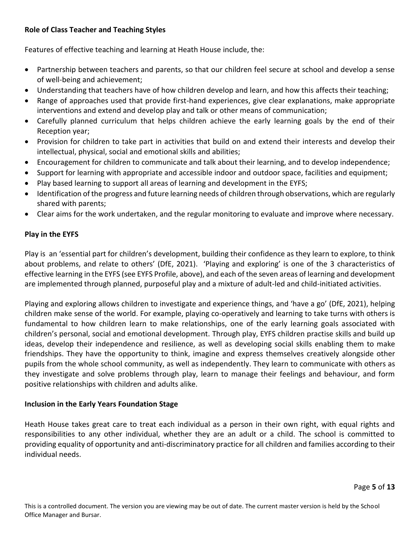# **Role of Class Teacher and Teaching Styles**

Features of effective teaching and learning at Heath House include, the:

- Partnership between teachers and parents, so that our children feel secure at school and develop a sense of well-being and achievement;
- Understanding that teachers have of how children develop and learn, and how this affects their teaching;
- Range of approaches used that provide first-hand experiences, give clear explanations, make appropriate interventions and extend and develop play and talk or other means of communication;
- Carefully planned curriculum that helps children achieve the early learning goals by the end of their Reception year;
- Provision for children to take part in activities that build on and extend their interests and develop their intellectual, physical, social and emotional skills and abilities;
- Encouragement for children to communicate and talk about their learning, and to develop independence;
- Support for learning with appropriate and accessible indoor and outdoor space, facilities and equipment;
- Play based learning to support all areas of learning and development in the EYFS;
- Identification of the progress and future learning needs of children through observations, which are regularly shared with parents;
- Clear aims for the work undertaken, and the regular monitoring to evaluate and improve where necessary.

## **Play in the EYFS**

Play is an 'essential part for children's development, building their confidence as they learn to explore, to think about problems, and relate to others' (DfE, 2021). 'Playing and exploring' is one of the 3 characteristics of effective learning in the EYFS (see EYFS Profile, above), and each of the seven areas of learning and development are implemented through planned, purposeful play and a mixture of adult-led and child-initiated activities.

Playing and exploring allows children to investigate and experience things, and 'have a go' (DfE, 2021), helping children make sense of the world. For example, playing co-operatively and learning to take turns with others is fundamental to how children learn to make relationships, one of the early learning goals associated with children's personal, social and emotional development. Through play, EYFS children practise skills and build up ideas, develop their independence and resilience, as well as developing social skills enabling them to make friendships. They have the opportunity to think, imagine and express themselves creatively alongside other pupils from the whole school community, as well as independently. They learn to communicate with others as they investigate and solve problems through play, learn to manage their feelings and behaviour, and form positive relationships with children and adults alike.

## **Inclusion in the Early Years Foundation Stage**

Heath House takes great care to treat each individual as a person in their own right, with equal rights and responsibilities to any other individual, whether they are an adult or a child. The school is committed to providing equality of opportunity and anti-discriminatory practice for all children and families according to their individual needs.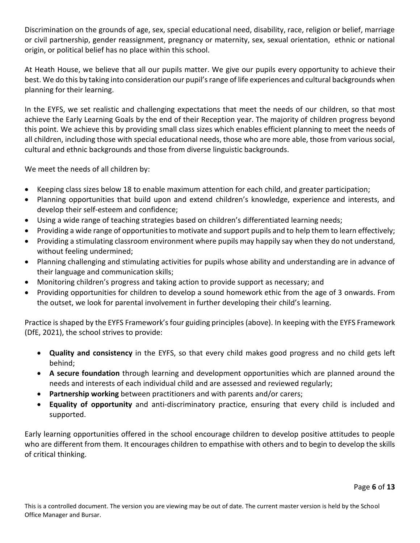Discrimination on the grounds of age, sex, special educational need, disability, race, religion or belief, marriage or civil partnership, gender reassignment, pregnancy or maternity, sex, sexual orientation, ethnic or national origin, or political belief has no place within this school.

At Heath House, we believe that all our pupils matter. We give our pupils every opportunity to achieve their best. We do this by taking into consideration our pupil's range of life experiences and cultural backgrounds when planning for their learning.

In the EYFS, we set realistic and challenging expectations that meet the needs of our children, so that most achieve the Early Learning Goals by the end of their Reception year. The majority of children progress beyond this point. We achieve this by providing small class sizes which enables efficient planning to meet the needs of all children, including those with special educational needs, those who are more able, those from various social, cultural and ethnic backgrounds and those from diverse linguistic backgrounds.

We meet the needs of all children by:

- Keeping class sizes below 18 to enable maximum attention for each child, and greater participation;
- Planning opportunities that build upon and extend children's knowledge, experience and interests, and develop their self-esteem and confidence;
- Using a wide range of teaching strategies based on children's differentiated learning needs;
- Providing a wide range of opportunities to motivate and support pupils and to help them to learn effectively;
- Providing a stimulating classroom environment where pupils may happily say when they do not understand, without feeling undermined;
- Planning challenging and stimulating activities for pupils whose ability and understanding are in advance of their language and communication skills;
- Monitoring children's progress and taking action to provide support as necessary; and
- Providing opportunities for children to develop a sound homework ethic from the age of 3 onwards. From the outset, we look for parental involvement in further developing their child's learning.

Practice is shaped by the EYFS Framework's four guiding principles (above). In keeping with the EYFS Framework (DfE, 2021), the school strives to provide:

- **Quality and consistency** in the EYFS, so that every child makes good progress and no child gets left behind;
- **A secure foundation** through learning and development opportunities which are planned around the needs and interests of each individual child and are assessed and reviewed regularly;
- **Partnership working** between practitioners and with parents and/or carers;
- **Equality of opportunity** and anti-discriminatory practice, ensuring that every child is included and supported.

Early learning opportunities offered in the school encourage children to develop positive attitudes to people who are different from them. It encourages children to empathise with others and to begin to develop the skills of critical thinking.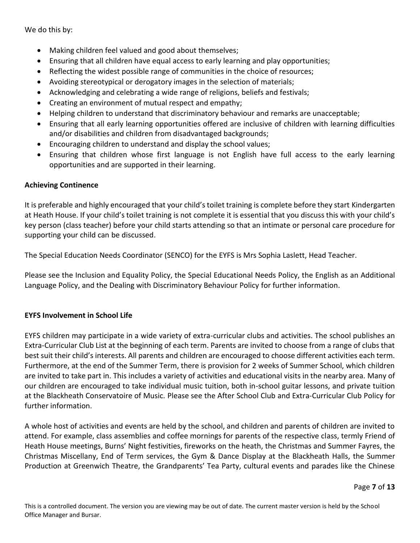We do this by:

- Making children feel valued and good about themselves;
- Ensuring that all children have equal access to early learning and play opportunities;
- Reflecting the widest possible range of communities in the choice of resources;
- Avoiding stereotypical or derogatory images in the selection of materials;
- Acknowledging and celebrating a wide range of religions, beliefs and festivals;
- Creating an environment of mutual respect and empathy;
- Helping children to understand that discriminatory behaviour and remarks are unacceptable;
- Ensuring that all early learning opportunities offered are inclusive of children with learning difficulties and/or disabilities and children from disadvantaged backgrounds;
- Encouraging children to understand and display the school values;
- Ensuring that children whose first language is not English have full access to the early learning opportunities and are supported in their learning.

## **Achieving Continence**

It is preferable and highly encouraged that your child's toilet training is complete before they start Kindergarten at Heath House. If your child's toilet training is not complete it is essential that you discuss this with your child's key person (class teacher) before your child starts attending so that an intimate or personal care procedure for supporting your child can be discussed.

The Special Education Needs Coordinator (SENCO) for the EYFS is Mrs Sophia Laslett, Head Teacher.

Please see the Inclusion and Equality Policy, the Special Educational Needs Policy, the English as an Additional Language Policy, and the Dealing with Discriminatory Behaviour Policy for further information.

## **EYFS Involvement in School Life**

EYFS children may participate in a wide variety of extra-curricular clubs and activities. The school publishes an Extra-Curricular Club List at the beginning of each term. Parents are invited to choose from a range of clubs that best suit their child's interests. All parents and children are encouraged to choose different activities each term. Furthermore, at the end of the Summer Term, there is provision for 2 weeks of Summer School, which children are invited to take part in. This includes a variety of activities and educational visits in the nearby area. Many of our children are encouraged to take individual music tuition, both in-school guitar lessons, and private tuition at the Blackheath Conservatoire of Music. Please see the After School Club and Extra-Curricular Club Policy for further information.

A whole host of activities and events are held by the school, and children and parents of children are invited to attend. For example, class assemblies and coffee mornings for parents of the respective class, termly Friend of Heath House meetings, Burns' Night festivities, fireworks on the heath, the Christmas and Summer Fayres, the Christmas Miscellany, End of Term services, the Gym & Dance Display at the Blackheath Halls, the Summer Production at Greenwich Theatre, the Grandparents' Tea Party, cultural events and parades like the Chinese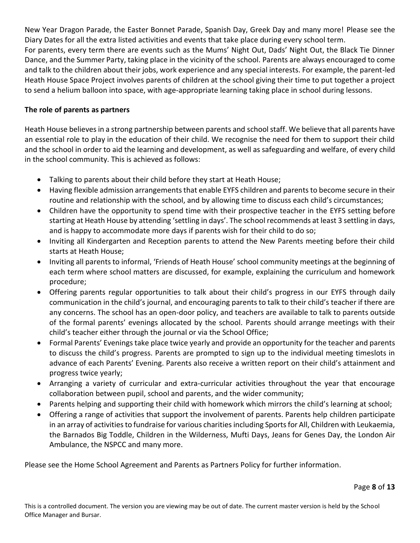New Year Dragon Parade, the Easter Bonnet Parade, Spanish Day, Greek Day and many more! Please see the Diary Dates for all the extra listed activities and events that take place during every school term.

For parents, every term there are events such as the Mums' Night Out, Dads' Night Out, the Black Tie Dinner Dance, and the Summer Party, taking place in the vicinity of the school. Parents are always encouraged to come and talk to the children about their jobs, work experience and any special interests. For example, the parent-led Heath House Space Project involves parents of children at the school giving their time to put together a project to send a helium balloon into space, with age-appropriate learning taking place in school during lessons.

## **The role of parents as partners**

Heath House believes in a strong partnership between parents and school staff. We believe that all parents have an essential role to play in the education of their child. We recognise the need for them to support their child and the school in order to aid the learning and development, as well as safeguarding and welfare, of every child in the school community. This is achieved as follows:

- Talking to parents about their child before they start at Heath House;
- Having flexible admission arrangements that enable EYFS children and parents to become secure in their routine and relationship with the school, and by allowing time to discuss each child's circumstances;
- Children have the opportunity to spend time with their prospective teacher in the EYFS setting before starting at Heath House by attending 'settling in days'. The school recommends at least 3 settling in days, and is happy to accommodate more days if parents wish for their child to do so;
- Inviting all Kindergarten and Reception parents to attend the New Parents meeting before their child starts at Heath House;
- Inviting all parents to informal, 'Friends of Heath House' school community meetings at the beginning of each term where school matters are discussed, for example, explaining the curriculum and homework procedure;
- Offering parents regular opportunities to talk about their child's progress in our EYFS through daily communication in the child's journal, and encouraging parents to talk to their child's teacher if there are any concerns. The school has an open-door policy, and teachers are available to talk to parents outside of the formal parents' evenings allocated by the school. Parents should arrange meetings with their child's teacher either through the journal or via the School Office;
- Formal Parents' Evenings take place twice yearly and provide an opportunity for the teacher and parents to discuss the child's progress. Parents are prompted to sign up to the individual meeting timeslots in advance of each Parents' Evening. Parents also receive a written report on their child's attainment and progress twice yearly;
- Arranging a variety of curricular and extra-curricular activities throughout the year that encourage collaboration between pupil, school and parents, and the wider community;
- Parents helping and supporting their child with homework which mirrors the child's learning at school;
- Offering a range of activities that support the involvement of parents. Parents help children participate in an array of activities to fundraise for various charitiesincluding Sports for All, Children with Leukaemia, the Barnados Big Toddle, Children in the Wilderness, Mufti Days, Jeans for Genes Day, the London Air Ambulance, the NSPCC and many more.

Please see the Home School Agreement and Parents as Partners Policy for further information.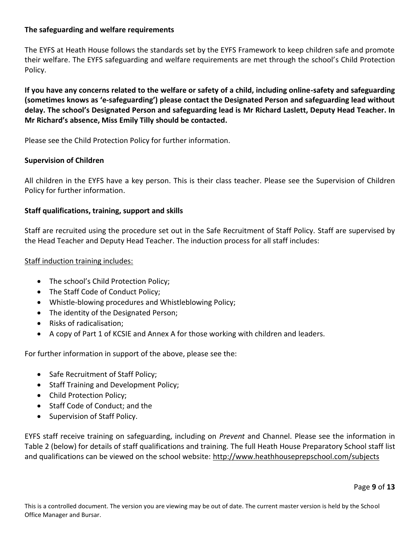#### **The safeguarding and welfare requirements**

The EYFS at Heath House follows the standards set by the EYFS Framework to keep children safe and promote their welfare. The EYFS safeguarding and welfare requirements are met through the school's Child Protection Policy.

**If you have any concerns related to the welfare or safety of a child, including online-safety and safeguarding (sometimes knows as 'e-safeguarding') please contact the Designated Person and safeguarding lead without delay. The school's Designated Person and safeguarding lead is Mr Richard Laslett, Deputy Head Teacher. In Mr Richard's absence, Miss Emily Tilly should be contacted.** 

Please see the Child Protection Policy for further information.

#### **Supervision of Children**

All children in the EYFS have a key person. This is their class teacher. Please see the Supervision of Children Policy for further information.

#### **Staff qualifications, training, support and skills**

Staff are recruited using the procedure set out in the Safe Recruitment of Staff Policy. Staff are supervised by the Head Teacher and Deputy Head Teacher. The induction process for all staff includes:

#### Staff induction training includes:

- The school's Child Protection Policy;
- The Staff Code of Conduct Policy;
- Whistle-blowing procedures and Whistleblowing Policy;
- The identity of the Designated Person;
- Risks of radicalisation;
- A copy of Part 1 of KCSIE and Annex A for those working with children and leaders.

For further information in support of the above, please see the:

- Safe Recruitment of Staff Policy;
- Staff Training and Development Policy;
- Child Protection Policy;
- Staff Code of Conduct; and the
- Supervision of Staff Policy.

EYFS staff receive training on safeguarding, including on *Prevent* and Channel. Please see the information in Table 2 (below) for details of staff qualifications and training. The full Heath House Preparatory School staff list and qualifications can be viewed on the school website: <http://www.heathhouseprepschool.com/subjects>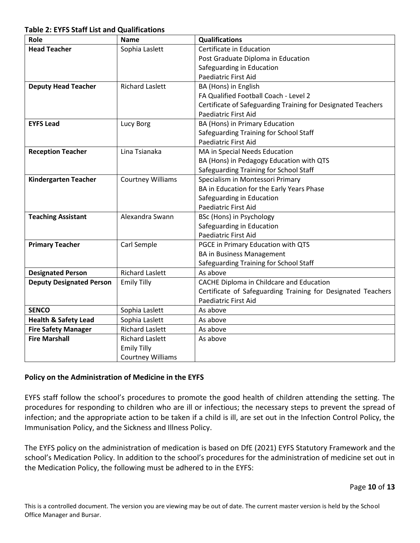#### **Table 2: EYFS Staff List and Qualifications**

| Role                            | <b>Name</b>              | <b>Qualifications</b>                                        |
|---------------------------------|--------------------------|--------------------------------------------------------------|
| <b>Head Teacher</b>             | Sophia Laslett           | Certificate in Education                                     |
|                                 |                          | Post Graduate Diploma in Education                           |
|                                 |                          | Safeguarding in Education                                    |
|                                 |                          | Paediatric First Aid                                         |
| <b>Deputy Head Teacher</b>      | <b>Richard Laslett</b>   | BA (Hons) in English                                         |
|                                 |                          | FA Qualified Football Coach - Level 2                        |
|                                 |                          | Certificate of Safeguarding Training for Designated Teachers |
|                                 |                          | <b>Paediatric First Aid</b>                                  |
| <b>EYFS Lead</b>                | Lucy Borg                | BA (Hons) in Primary Education                               |
|                                 |                          | Safeguarding Training for School Staff                       |
|                                 |                          | <b>Paediatric First Aid</b>                                  |
| <b>Reception Teacher</b>        | Lina Tsianaka            | MA in Special Needs Education                                |
|                                 |                          | BA (Hons) in Pedagogy Education with QTS                     |
|                                 |                          | Safeguarding Training for School Staff                       |
| <b>Kindergarten Teacher</b>     | <b>Courtney Williams</b> | Specialism in Montessori Primary                             |
|                                 |                          | BA in Education for the Early Years Phase                    |
|                                 |                          | Safeguarding in Education                                    |
|                                 |                          | <b>Paediatric First Aid</b>                                  |
| <b>Teaching Assistant</b>       | Alexandra Swann          | BSc (Hons) in Psychology                                     |
|                                 |                          | Safeguarding in Education                                    |
|                                 |                          | <b>Paediatric First Aid</b>                                  |
| <b>Primary Teacher</b>          | Carl Semple              | PGCE in Primary Education with QTS                           |
|                                 |                          | <b>BA in Business Management</b>                             |
|                                 |                          | Safeguarding Training for School Staff                       |
| <b>Designated Person</b>        | <b>Richard Laslett</b>   | As above                                                     |
| <b>Deputy Designated Person</b> | <b>Emily Tilly</b>       | <b>CACHE Diploma in Childcare and Education</b>              |
|                                 |                          | Certificate of Safeguarding Training for Designated Teachers |
|                                 |                          | Paediatric First Aid                                         |
| <b>SENCO</b>                    | Sophia Laslett           | As above                                                     |
| <b>Health &amp; Safety Lead</b> | Sophia Laslett           | As above                                                     |
| <b>Fire Safety Manager</b>      | <b>Richard Laslett</b>   | As above                                                     |
| <b>Fire Marshall</b>            | <b>Richard Laslett</b>   | As above                                                     |
|                                 | <b>Emily Tilly</b>       |                                                              |
|                                 | <b>Courtney Williams</b> |                                                              |

## **Policy on the Administration of Medicine in the EYFS**

EYFS staff follow the school's procedures to promote the good health of children attending the setting. The procedures for responding to children who are ill or infectious; the necessary steps to prevent the spread of infection; and the appropriate action to be taken if a child is ill, are set out in the Infection Control Policy, the Immunisation Policy, and the Sickness and Illness Policy.

The EYFS policy on the administration of medication is based on DfE (2021) EYFS Statutory Framework and the school's Medication Policy. In addition to the school's procedures for the administration of medicine set out in the Medication Policy, the following must be adhered to in the EYFS: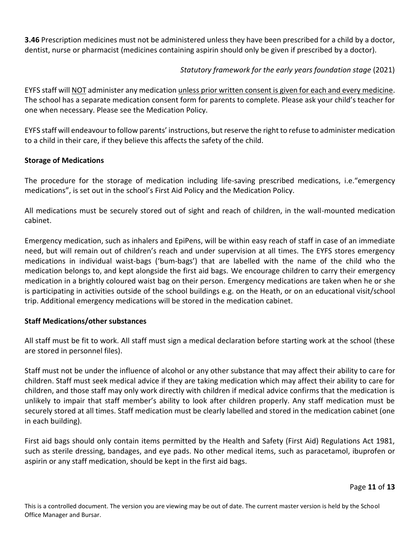**3.46** Prescription medicines must not be administered unless they have been prescribed for a child by a doctor, dentist, nurse or pharmacist (medicines containing aspirin should only be given if prescribed by a doctor).

# *Statutory framework for the early years foundation stage* (2021)

EYFS staff will NOT administer any medication unless prior written consent is given for each and every medicine. The school has a separate medication consent form for parents to complete. Please ask your child's teacher for one when necessary. Please see the Medication Policy.

EYFS staff will endeavour to follow parents' instructions, but reserve the right to refuse to administer medication to a child in their care, if they believe this affects the safety of the child.

#### **Storage of Medications**

The procedure for the storage of medication including life-saving prescribed medications, i.e."emergency medications", is set out in the school's First Aid Policy and the Medication Policy.

All medications must be securely stored out of sight and reach of children, in the wall-mounted medication cabinet.

Emergency medication, such as inhalers and EpiPens, will be within easy reach of staff in case of an immediate need, but will remain out of children's reach and under supervision at all times. The EYFS stores emergency medications in individual waist-bags ('bum-bags') that are labelled with the name of the child who the medication belongs to, and kept alongside the first aid bags. We encourage children to carry their emergency medication in a brightly coloured waist bag on their person. Emergency medications are taken when he or she is participating in activities outside of the school buildings e.g. on the Heath, or on an educational visit/school trip. Additional emergency medications will be stored in the medication cabinet.

#### **Staff Medications/other substances**

All staff must be fit to work. All staff must sign a medical declaration before starting work at the school (these are stored in personnel files).

Staff must not be under the influence of alcohol or any other substance that may affect their ability to care for children. Staff must seek medical advice if they are taking medication which may affect their ability to care for children, and those staff may only work directly with children if medical advice confirms that the medication is unlikely to impair that staff member's ability to look after children properly. Any staff medication must be securely stored at all times. Staff medication must be clearly labelled and stored in the medication cabinet (one in each building).

First aid bags should only contain items permitted by the Health and Safety (First Aid) Regulations Act 1981, such as sterile dressing, bandages, and eye pads. No other medical items, such as paracetamol, ibuprofen or aspirin or any staff medication, should be kept in the first aid bags.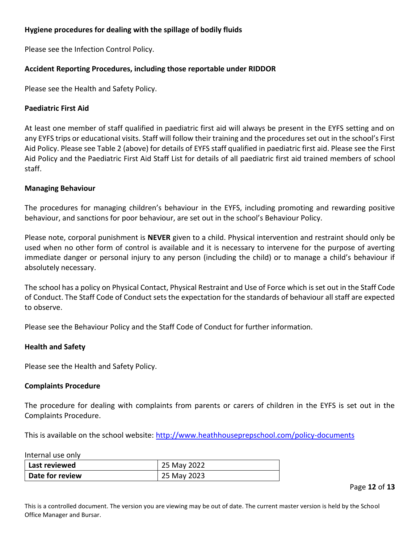## **Hygiene procedures for dealing with the spillage of bodily fluids**

Please see the Infection Control Policy.

## **Accident Reporting Procedures, including those reportable under RIDDOR**

Please see the Health and Safety Policy.

### **Paediatric First Aid**

At least one member of staff qualified in paediatric first aid will always be present in the EYFS setting and on any EYFS trips or educational visits. Staff will follow their training and the procedures set out in the school's First Aid Policy. Please see Table 2 (above) for details of EYFS staff qualified in paediatric first aid. Please see the First Aid Policy and the Paediatric First Aid Staff List for details of all paediatric first aid trained members of school staff.

## **Managing Behaviour**

The procedures for managing children's behaviour in the EYFS, including promoting and rewarding positive behaviour, and sanctions for poor behaviour, are set out in the school's Behaviour Policy.

Please note, corporal punishment is **NEVER** given to a child. Physical intervention and restraint should only be used when no other form of control is available and it is necessary to intervene for the purpose of averting immediate danger or personal injury to any person (including the child) or to manage a child's behaviour if absolutely necessary.

The school has a policy on Physical Contact, Physical Restraint and Use of Force which is set out in the Staff Code of Conduct. The Staff Code of Conduct sets the expectation for the standards of behaviour all staff are expected to observe.

Please see the Behaviour Policy and the Staff Code of Conduct for further information.

## **Health and Safety**

Please see the Health and Safety Policy.

## **Complaints Procedure**

The procedure for dealing with complaints from parents or carers of children in the EYFS is set out in the Complaints Procedure.

This is available on the school website:<http://www.heathhouseprepschool.com/policy-documents>

Internal use only

| Last reviewed   | 25 May 2022 |
|-----------------|-------------|
| Date for review | 25 May 2023 |

Page **12** of **13**

This is a controlled document. The version you are viewing may be out of date. The current master version is held by the School Office Manager and Bursar.